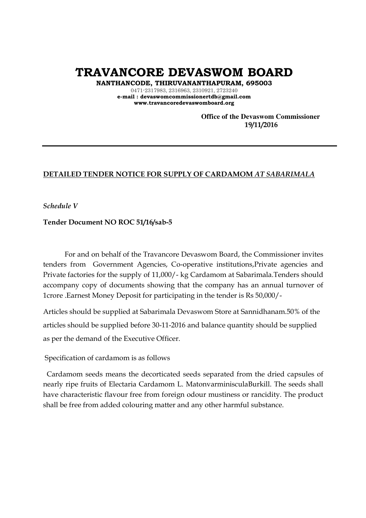**TRAVANCORE DEVASWOM BOARD** 

**NANTHANCODE, THIRUVANANTHAPURAM, 695003** 

0471-2317983, 2316963, 2310921, 2723240 **e-mail : devaswomcommissionertdb@gmail.com www.travancoredevaswomboard.org** 

> **Office of the Devaswom Commissioner 19/11/2016**

## **DETAILED TENDER NOTICE FOR SUPPLY OF CARDAMOM** *AT SABARIMALA*

*Schedule V*

#### **Tender Document NO ROC 51/16/sab-5**

For and on behalf of the Travancore Devaswom Board, the Commissioner invites tenders from Government Agencies, Co-operative institutions,Private agencies and Private factories for the supply of 11,000/- kg Cardamom at Sabarimala.Tenders should accompany copy of documents showing that the company has an annual turnover of 1crore .Earnest Money Deposit for participating in the tender is Rs 50,000/-

Articles should be supplied at Sabarimala Devaswom Store at Sannidhanam.50% of the articles should be supplied before 30-11-2016 and balance quantity should be supplied as per the demand of the Executive Officer.

Specification of cardamom is as follows

 Cardamom seeds means the decorticated seeds separated from the dried capsules of nearly ripe fruits of Electaria Cardamom L. MatonvarminisculaBurkill. The seeds shall have characteristic flavour free from foreign odour mustiness or rancidity. The product shall be free from added colouring matter and any other harmful substance.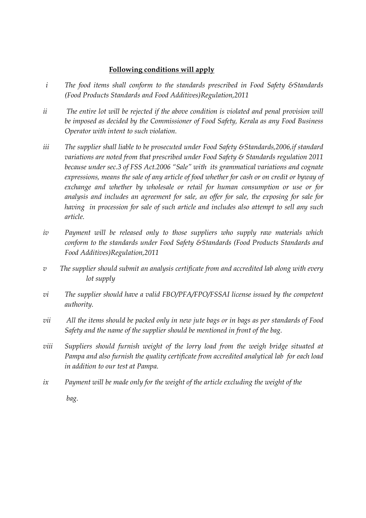## **Following conditions will apply**

- *i The food items shall conform to the standards prescribed in Food Safety &Standards (Food Products Standards and Food Additives)Regulation,2011*
- *ii The entire lot will be rejected if the above condition is violated and penal provision will be imposed as decided by the Commissioner of Food Safety, Kerala as any Food Business Operator with intent to such violation.*
- *iii The supplier shall liable to be prosecuted under Food Safety &Standards,2006,if standard variations are noted from that prescribed under Food Safety & Standards regulation 2011 because under sec.3 of FSS Act.2006 "Sale" with its grammatical variations and cognate expressions, means the sale of any article of food whether for cash or on credit or byway of exchange and whether by wholesale or retail for human consumption or use or for analysis and includes an agreement for sale, an offer for sale, the exposing for sale for having in procession for sale of such article and includes also attempt to sell any such article.*
- *iv Payment will be released only to those suppliers who supply raw materials which conform to the standards under Food Safety &Standards (Food Products Standards and Food Additives)Regulation,2011*
- *v The supplier should submit an analysis certificate from and accredited lab along with every lot supply*
- *vi The supplier should have a valid FBO/PFA/FPO/FSSAI license issued by the competent authority.*
- *vii All the items should be packed only in new jute bags or in bags as per standards of Food Safety and the name of the supplier should be mentioned in front of the bag.*
- *viii Suppliers should furnish weight of the lorry load from the weigh bridge situated at Pampa and also furnish the quality certificate from accredited analytical lab for each load in addition to our test at Pampa.*
- *ix Payment will be made only for the weight of the article excluding the weight of the bag.*